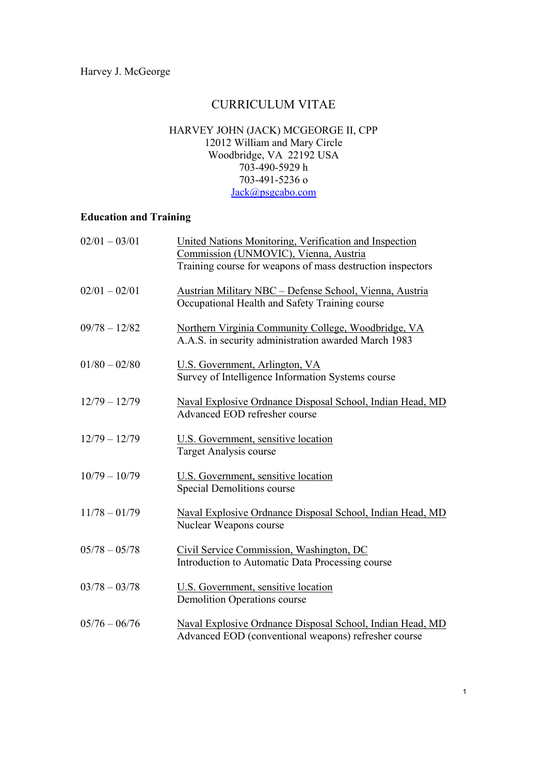# CURRICULUM VITAE

#### HARVEY JOHN (JACK) MCGEORGE II, CPP 12012 William and Mary Circle Woodbridge, VA 22192 USA 703-490-5929 h 703-491-5236 o [Jack@psgcabo.com](mailto:jack@psgcabo.com)

### **Education and Training**

| $02/01 - 03/01$ | United Nations Monitoring, Verification and Inspection<br>Commission (UNMOVIC), Vienna, Austria<br>Training course for weapons of mass destruction inspectors |
|-----------------|---------------------------------------------------------------------------------------------------------------------------------------------------------------|
| $02/01 - 02/01$ | <b>Austrian Military NBC - Defense School, Vienna, Austria</b><br>Occupational Health and Safety Training course                                              |
| $09/78 - 12/82$ | Northern Virginia Community College, Woodbridge, VA<br>A.A.S. in security administration awarded March 1983                                                   |
| $01/80 - 02/80$ | U.S. Government, Arlington, VA<br>Survey of Intelligence Information Systems course                                                                           |
| $12/79 - 12/79$ | Naval Explosive Ordnance Disposal School, Indian Head, MD<br>Advanced EOD refresher course                                                                    |
| $12/79 - 12/79$ | U.S. Government, sensitive location<br>Target Analysis course                                                                                                 |
| $10/79 - 10/79$ | U.S. Government, sensitive location<br>Special Demolitions course                                                                                             |
| $11/78 - 01/79$ | Naval Explosive Ordnance Disposal School, Indian Head, MD<br>Nuclear Weapons course                                                                           |
| $05/78 - 05/78$ | Civil Service Commission, Washington, DC<br>Introduction to Automatic Data Processing course                                                                  |
| $03/78 - 03/78$ | U.S. Government, sensitive location<br><b>Demolition Operations course</b>                                                                                    |
| $05/76 - 06/76$ | Naval Explosive Ordnance Disposal School, Indian Head, MD<br>Advanced EOD (conventional weapons) refresher course                                             |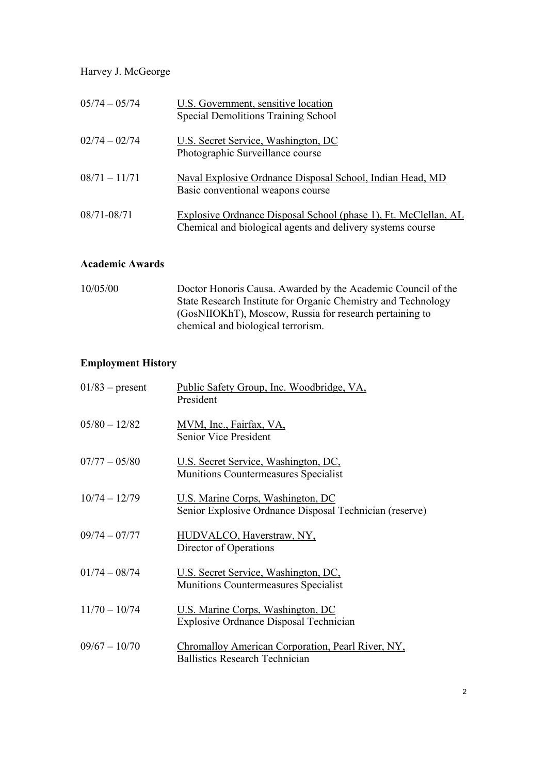| $05/74 - 05/74$ | U.S. Government, sensitive location<br>Special Demolitions Training School                                                    |
|-----------------|-------------------------------------------------------------------------------------------------------------------------------|
| $02/74 - 02/74$ | U.S. Secret Service, Washington, DC<br>Photographic Surveillance course                                                       |
| $08/71 - 11/71$ | Naval Explosive Ordnance Disposal School, Indian Head, MD<br>Basic conventional weapons course                                |
| 08/71-08/71     | Explosive Ordnance Disposal School (phase 1), Ft. McClellan, AL<br>Chemical and biological agents and delivery systems course |

## **Academic Awards**

| 10/05/00 | Doctor Honoris Causa. Awarded by the Academic Council of the  |
|----------|---------------------------------------------------------------|
|          | State Research Institute for Organic Chemistry and Technology |
|          | (GosNIIOKhT), Moscow, Russia for research pertaining to       |
|          | chemical and biological terrorism.                            |

# **Employment History**

| $01/83$ – present | Public Safety Group, Inc. Woodbridge, VA,<br>President                                       |
|-------------------|----------------------------------------------------------------------------------------------|
| $05/80 - 12/82$   | MVM, Inc., Fairfax, VA,<br><b>Senior Vice President</b>                                      |
| $07/77 - 05/80$   | U.S. Secret Service, Washington, DC,<br>Munitions Countermeasures Specialist                 |
| $10/74 - 12/79$   | U.S. Marine Corps, Washington, DC<br>Senior Explosive Ordnance Disposal Technician (reserve) |
| $09/74 - 07/77$   | HUDVALCO, Haverstraw, NY,<br>Director of Operations                                          |
| $01/74 - 08/74$   | U.S. Secret Service, Washington, DC,<br><b>Munitions Countermeasures Specialist</b>          |
| $11/70 - 10/74$   | U.S. Marine Corps, Washington, DC<br><b>Explosive Ordnance Disposal Technician</b>           |
| $09/67 - 10/70$   | Chromalloy American Corporation, Pearl River, NY,<br><b>Ballistics Research Technician</b>   |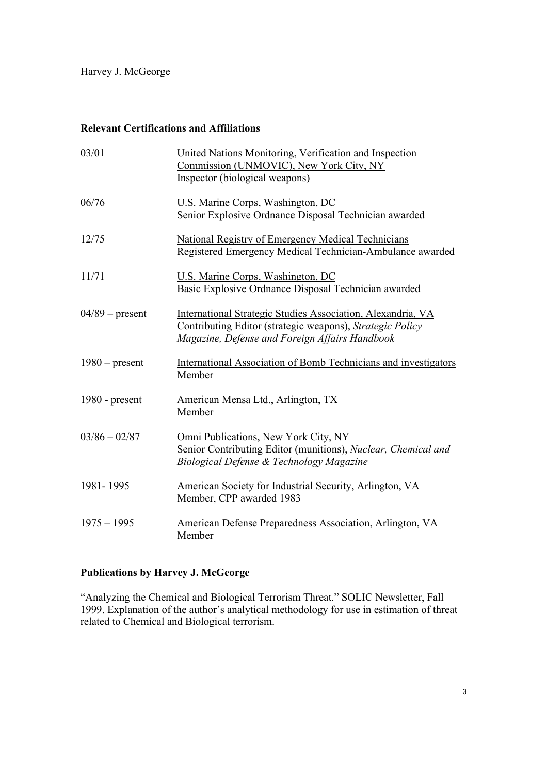### **Relevant Certifications and Affiliations**

| 03/01             | United Nations Monitoring, Verification and Inspection<br>Commission (UNMOVIC), New York City, NY<br>Inspector (biological weapons)                                        |
|-------------------|----------------------------------------------------------------------------------------------------------------------------------------------------------------------------|
| 06/76             | U.S. Marine Corps, Washington, DC<br>Senior Explosive Ordnance Disposal Technician awarded                                                                                 |
| 12/75             | <b>National Registry of Emergency Medical Technicians</b><br>Registered Emergency Medical Technician-Ambulance awarded                                                     |
| 11/71             | U.S. Marine Corps, Washington, DC<br>Basic Explosive Ordnance Disposal Technician awarded                                                                                  |
| $04/89$ – present | International Strategic Studies Association, Alexandria, VA<br>Contributing Editor (strategic weapons), Strategic Policy<br>Magazine, Defense and Foreign Affairs Handbook |
| $1980$ – present  | International Association of Bomb Technicians and investigators<br>Member                                                                                                  |
| 1980 - present    | American Mensa Ltd., Arlington, TX<br>Member                                                                                                                               |
| $03/86 - 02/87$   | Omni Publications, New York City, NY<br>Senior Contributing Editor (munitions), Nuclear, Chemical and<br>Biological Defense & Technology Magazine                          |
| 1981-1995         | American Society for Industrial Security, Arlington, VA<br>Member, CPP awarded 1983                                                                                        |
| $1975 - 1995$     | American Defense Preparedness Association, Arlington, VA<br>Member                                                                                                         |

## **Publications by Harvey J. McGeorge**

"Analyzing the Chemical and Biological Terrorism Threat." SOLIC Newsletter, Fall 1999. Explanation of the author's analytical methodology for use in estimation of threat related to Chemical and Biological terrorism.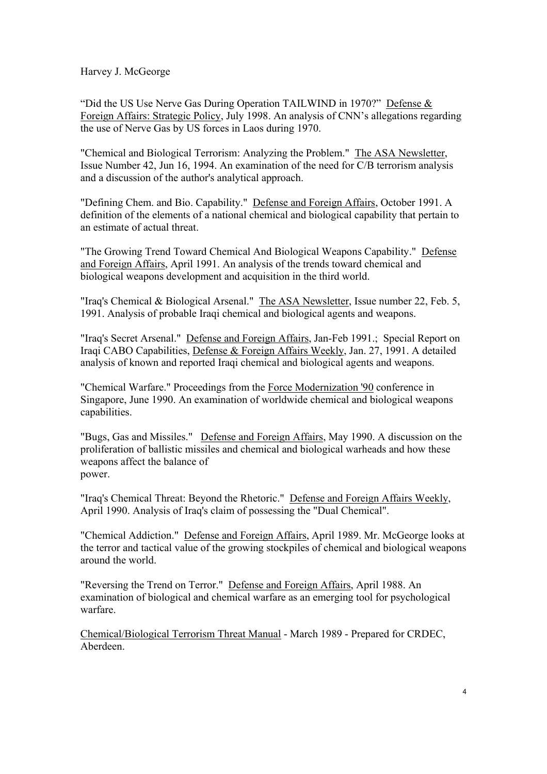"Did the US Use Nerve Gas During Operation TAILWIND in 1970?" Defense  $&$ Foreign Affairs: Strategic Policy, July 1998. An analysis of CNN's allegations regarding the use of Nerve Gas by US forces in Laos during 1970.

"Chemical and Biological Terrorism: Analyzing the Problem." The ASA Newsletter, Issue Number 42, Jun 16, 1994. An examination of the need for C/B terrorism analysis and a discussion of the author's analytical approach.

"Defining Chem. and Bio. Capability." Defense and Foreign Affairs, October 1991. A definition of the elements of a national chemical and biological capability that pertain to an estimate of actual threat.

"The Growing Trend Toward Chemical And Biological Weapons Capability." Defense and Foreign Affairs, April 1991. An analysis of the trends toward chemical and biological weapons development and acquisition in the third world.

"Iraq's Chemical & Biological Arsenal." The ASA Newsletter, Issue number 22, Feb. 5, 1991. Analysis of probable Iraqi chemical and biological agents and weapons.

"Iraq's Secret Arsenal." Defense and Foreign Affairs, Jan-Feb 1991.; Special Report on Iraqi CABO Capabilities, Defense & Foreign Affairs Weekly, Jan. 27, 1991. A detailed analysis of known and reported Iraqi chemical and biological agents and weapons.

"Chemical Warfare." Proceedings from the Force Modernization '90 conference in Singapore, June 1990. An examination of worldwide chemical and biological weapons capabilities.

"Bugs, Gas and Missiles." Defense and Foreign Affairs, May 1990. A discussion on the proliferation of ballistic missiles and chemical and biological warheads and how these weapons affect the balance of power.

"Iraq's Chemical Threat: Beyond the Rhetoric." Defense and Foreign Affairs Weekly, April 1990. Analysis of Iraq's claim of possessing the "Dual Chemical".

"Chemical Addiction." Defense and Foreign Affairs, April 1989. Mr. McGeorge looks at the terror and tactical value of the growing stockpiles of chemical and biological weapons around the world.

"Reversing the Trend on Terror." Defense and Foreign Affairs, April 1988. An examination of biological and chemical warfare as an emerging tool for psychological warfare.

Chemical/Biological Terrorism Threat Manual - March 1989 - Prepared for CRDEC, Aberdeen.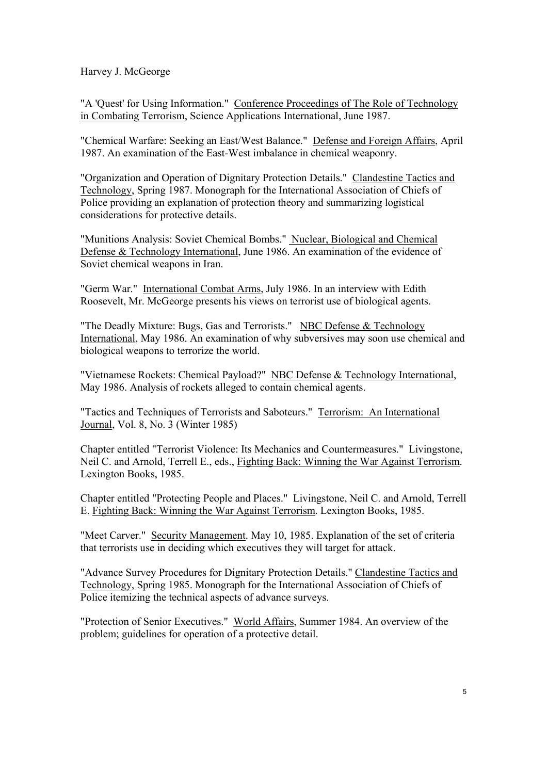"A 'Quest' for Using Information." Conference Proceedings of The Role of Technology in Combating Terrorism, Science Applications International, June 1987.

"Chemical Warfare: Seeking an East/West Balance." Defense and Foreign Affairs, April 1987. An examination of the East-West imbalance in chemical weaponry.

"Organization and Operation of Dignitary Protection Details." Clandestine Tactics and Technology, Spring 1987. Monograph for the International Association of Chiefs of Police providing an explanation of protection theory and summarizing logistical considerations for protective details.

"Munitions Analysis: Soviet Chemical Bombs." Nuclear, Biological and Chemical Defense & Technology International, June 1986. An examination of the evidence of Soviet chemical weapons in Iran.

"Germ War." International Combat Arms, July 1986. In an interview with Edith Roosevelt, Mr. McGeorge presents his views on terrorist use of biological agents.

"The Deadly Mixture: Bugs, Gas and Terrorists." NBC Defense & Technology International, May 1986. An examination of why subversives may soon use chemical and biological weapons to terrorize the world.

"Vietnamese Rockets: Chemical Payload?" NBC Defense & Technology International, May 1986. Analysis of rockets alleged to contain chemical agents.

"Tactics and Techniques of Terrorists and Saboteurs." Terrorism: An International Journal, Vol. 8, No. 3 (Winter 1985)

Chapter entitled "Terrorist Violence: Its Mechanics and Countermeasures." Livingstone, Neil C. and Arnold, Terrell E., eds., Fighting Back: Winning the War Against Terrorism. Lexington Books, 1985.

Chapter entitled "Protecting People and Places." Livingstone, Neil C. and Arnold, Terrell E. Fighting Back: Winning the War Against Terrorism. Lexington Books, 1985.

"Meet Carver." Security Management. May 10, 1985. Explanation of the set of criteria that terrorists use in deciding which executives they will target for attack.

"Advance Survey Procedures for Dignitary Protection Details." Clandestine Tactics and Technology, Spring 1985. Monograph for the International Association of Chiefs of Police itemizing the technical aspects of advance surveys.

"Protection of Senior Executives." World Affairs, Summer 1984. An overview of the problem; guidelines for operation of a protective detail.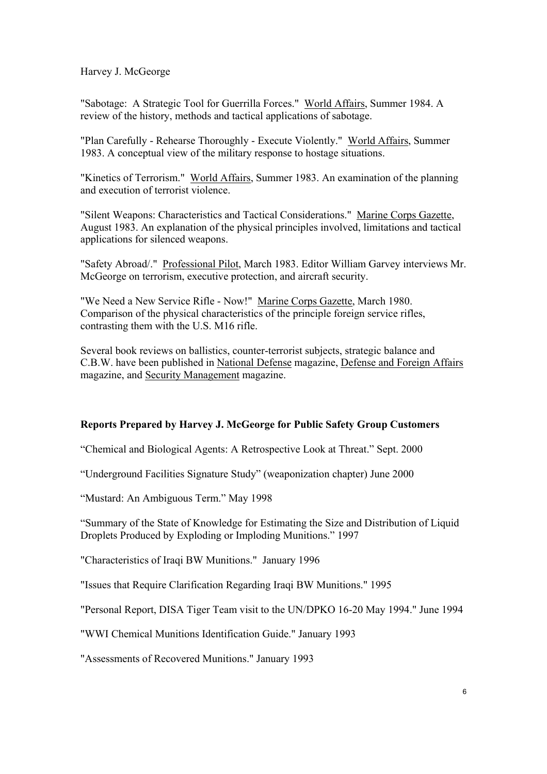"Sabotage: A Strategic Tool for Guerrilla Forces." World Affairs, Summer 1984. A review of the history, methods and tactical applications of sabotage.

"Plan Carefully - Rehearse Thoroughly - Execute Violently." World Affairs, Summer 1983. A conceptual view of the military response to hostage situations.

"Kinetics of Terrorism." World Affairs, Summer 1983. An examination of the planning and execution of terrorist violence.

"Silent Weapons: Characteristics and Tactical Considerations." Marine Corps Gazette, August 1983. An explanation of the physical principles involved, limitations and tactical applications for silenced weapons.

"Safety Abroad/." Professional Pilot, March 1983. Editor William Garvey interviews Mr. McGeorge on terrorism, executive protection, and aircraft security.

"We Need a New Service Rifle - Now!" Marine Corps Gazette, March 1980. Comparison of the physical characteristics of the principle foreign service rifles, contrasting them with the U.S. M16 rifle.

Several book reviews on ballistics, counter-terrorist subjects, strategic balance and C.B.W. have been published in National Defense magazine, Defense and Foreign Affairs magazine, and Security Management magazine.

#### **Reports Prepared by Harvey J. McGeorge for Public Safety Group Customers**

"Chemical and Biological Agents: A Retrospective Look at Threat." Sept. 2000

ìUnderground Facilities Signature Studyî (weaponization chapter) June 2000

"Mustard: An Ambiguous Term." May 1998

ìSummary of the State of Knowledge for Estimating the Size and Distribution of Liquid Droplets Produced by Exploding or Imploding Munitions." 1997

"Characteristics of Iraqi BW Munitions." January 1996

"Issues that Require Clarification Regarding Iraqi BW Munitions." 1995

"Personal Report, DISA Tiger Team visit to the UN/DPKO 16-20 May 1994." June 1994

"WWI Chemical Munitions Identification Guide." January 1993

"Assessments of Recovered Munitions." January 1993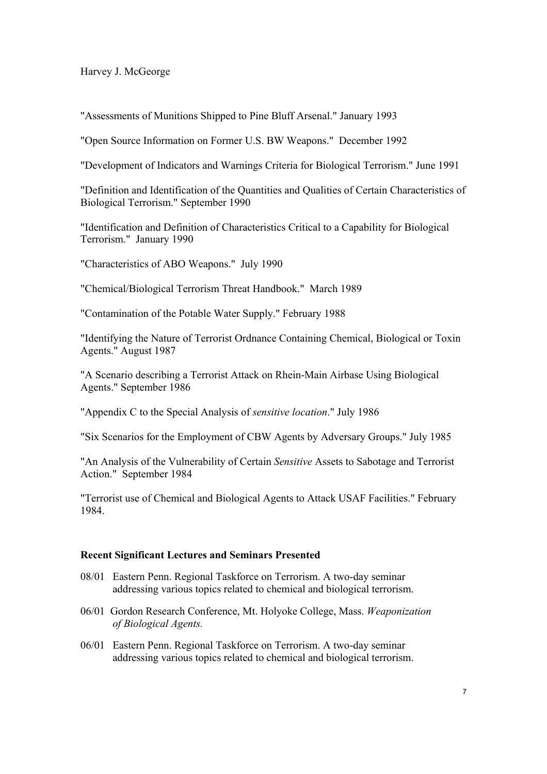"Assessments of Munitions Shipped to Pine Bluff Arsenal." January 1993

"Open Source Information on Former U.S. BW Weapons." December 1992

"Development of Indicators and Warnings Criteria for Biological Terrorism." June 1991

"Definition and Identification of the Quantities and Qualities of Certain Characteristics of Biological Terrorism." September 1990

"Identification and Definition of Characteristics Critical to a Capability for Biological Terrorism." January 1990

"Characteristics of ABO Weapons." July 1990

"Chemical/Biological Terrorism Threat Handbook." March 1989

"Contamination of the Potable Water Supply." February 1988

"Identifying the Nature of Terrorist Ordnance Containing Chemical, Biological or Toxin Agents." August 1987

"A Scenario describing a Terrorist Attack on Rhein-Main Airbase Using Biological Agents." September 1986

"Appendix C to the Special Analysis of *sensitive location*." July 1986

"Six Scenarios for the Employment of CBW Agents by Adversary Groups." July 1985

"An Analysis of the Vulnerability of Certain *Sensitive* Assets to Sabotage and Terrorist Action." September 1984

"Terrorist use of Chemical and Biological Agents to Attack USAF Facilities." February 1984.

#### **Recent Significant Lectures and Seminars Presented**

- 08/01 Eastern Penn. Regional Taskforce on Terrorism. A two-day seminar addressing various topics related to chemical and biological terrorism.
- 06/01 Gordon Research Conference, Mt. Holyoke College, Mass. *Weaponization of Biological Agents.*
- 06/01 Eastern Penn. Regional Taskforce on Terrorism. A two-day seminar addressing various topics related to chemical and biological terrorism.